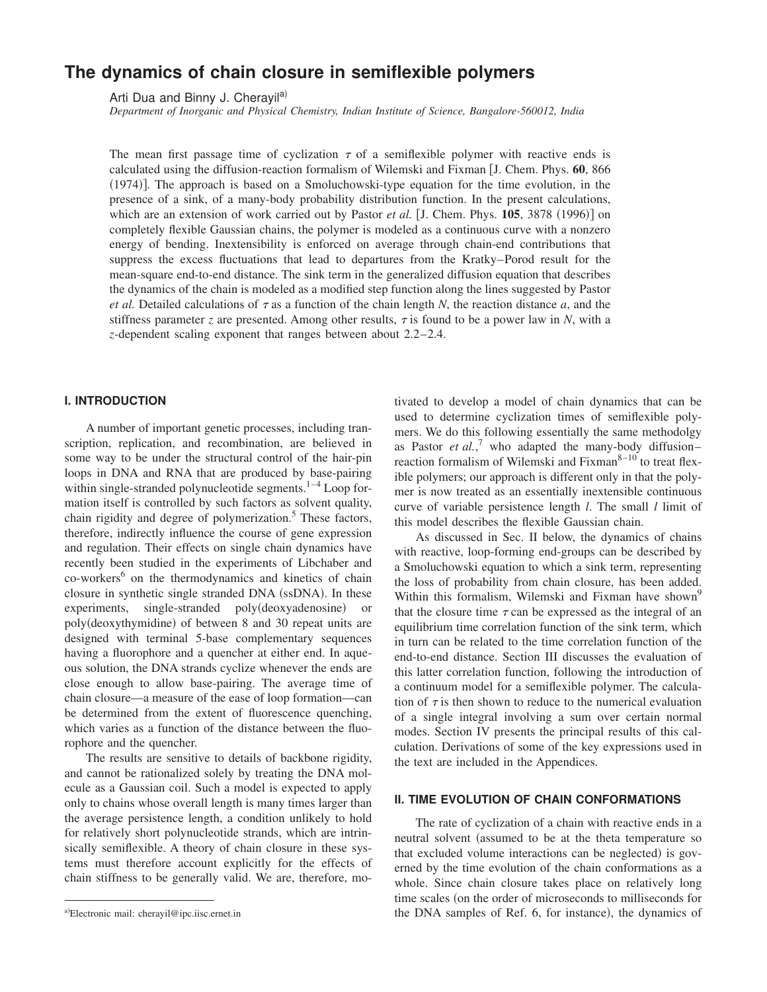# **The dynamics of chain closure in semiflexible polymers**

Arti Dua and Binny J. Cherayil<sup>a)</sup>

*Department of Inorganic and Physical Chemistry, Indian Institute of Science, Bangalore-560012, India*

The mean first passage time of cyclization  $\tau$  of a semiflexible polymer with reactive ends is calculated using the diffusion-reaction formalism of Wilemski and Fixman [J. Chem. Phys. 60, 866  $(1974)$ . The approach is based on a Smoluchowski-type equation for the time evolution, in the presence of a sink, of a many-body probability distribution function. In the present calculations, which are an extension of work carried out by Pastor *et al.* [J. Chem. Phys.  $105$ ,  $3878$  (1996)] on completely flexible Gaussian chains, the polymer is modeled as a continuous curve with a nonzero energy of bending. Inextensibility is enforced on average through chain-end contributions that suppress the excess fluctuations that lead to departures from the Kratky–Porod result for the mean-square end-to-end distance. The sink term in the generalized diffusion equation that describes the dynamics of the chain is modeled as a modified step function along the lines suggested by Pastor *et al.* Detailed calculations of  $\tau$  as a function of the chain length N, the reaction distance *a*, and the stiffness parameter *z* are presented. Among other results,  $\tau$  is found to be a power law in *N*, with a *z*-dependent scaling exponent that ranges between about 2.2–2.4.

## **I. INTRODUCTION**

A number of important genetic processes, including transcription, replication, and recombination, are believed in some way to be under the structural control of the hair-pin loops in DNA and RNA that are produced by base-pairing within single-stranded polynucleotide segments. $1-4$  Loop formation itself is controlled by such factors as solvent quality, chain rigidity and degree of polymerization.<sup>5</sup> These factors, therefore, indirectly influence the course of gene expression and regulation. Their effects on single chain dynamics have recently been studied in the experiments of Libchaber and co-workers<sup>6</sup> on the thermodynamics and kinetics of chain closure in synthetic single stranded DNA (ssDNA). In these experiments, single-stranded poly(deoxyadenosine) or poly(deoxythymidine) of between 8 and 30 repeat units are designed with terminal 5-base complementary sequences having a fluorophore and a quencher at either end. In aqueous solution, the DNA strands cyclize whenever the ends are close enough to allow base-pairing. The average time of chain closure—a measure of the ease of loop formation—can be determined from the extent of fluorescence quenching, which varies as a function of the distance between the fluorophore and the quencher.

The results are sensitive to details of backbone rigidity, and cannot be rationalized solely by treating the DNA molecule as a Gaussian coil. Such a model is expected to apply only to chains whose overall length is many times larger than the average persistence length, a condition unlikely to hold for relatively short polynucleotide strands, which are intrinsically semiflexible. A theory of chain closure in these systems must therefore account explicitly for the effects of chain stiffness to be generally valid. We are, therefore, motivated to develop a model of chain dynamics that can be used to determine cyclization times of semiflexible polymers. We do this following essentially the same methodolgy as Pastor *et al.*,<sup>7</sup> who adapted the many-body diffusion– reaction formalism of Wilemski and Fixman<sup>8-10</sup> to treat flexible polymers; our approach is different only in that the polymer is now treated as an essentially inextensible continuous curve of variable persistence length *l*. The small *l* limit of this model describes the flexible Gaussian chain.

As discussed in Sec. II below, the dynamics of chains with reactive, loop-forming end-groups can be described by a Smoluchowski equation to which a sink term, representing the loss of probability from chain closure, has been added. Within this formalism, Wilemski and Fixman have shown<sup>9</sup> that the closure time  $\tau$  can be expressed as the integral of an equilibrium time correlation function of the sink term, which in turn can be related to the time correlation function of the end-to-end distance. Section III discusses the evaluation of this latter correlation function, following the introduction of a continuum model for a semiflexible polymer. The calculation of  $\tau$  is then shown to reduce to the numerical evaluation of a single integral involving a sum over certain normal modes. Section IV presents the principal results of this calculation. Derivations of some of the key expressions used in the text are included in the Appendices.

### **II. TIME EVOLUTION OF CHAIN CONFORMATIONS**

The rate of cyclization of a chain with reactive ends in a neutral solvent (assumed to be at the theta temperature so that excluded volume interactions can be neglected) is governed by the time evolution of the chain conformations as a whole. Since chain closure takes place on relatively long time scales (on the order of microseconds to milliseconds for a) Electronic mail: cherayil@ipc.iisc.ernet.in the DNA samples of Ref. 6, for instance), the dynamics of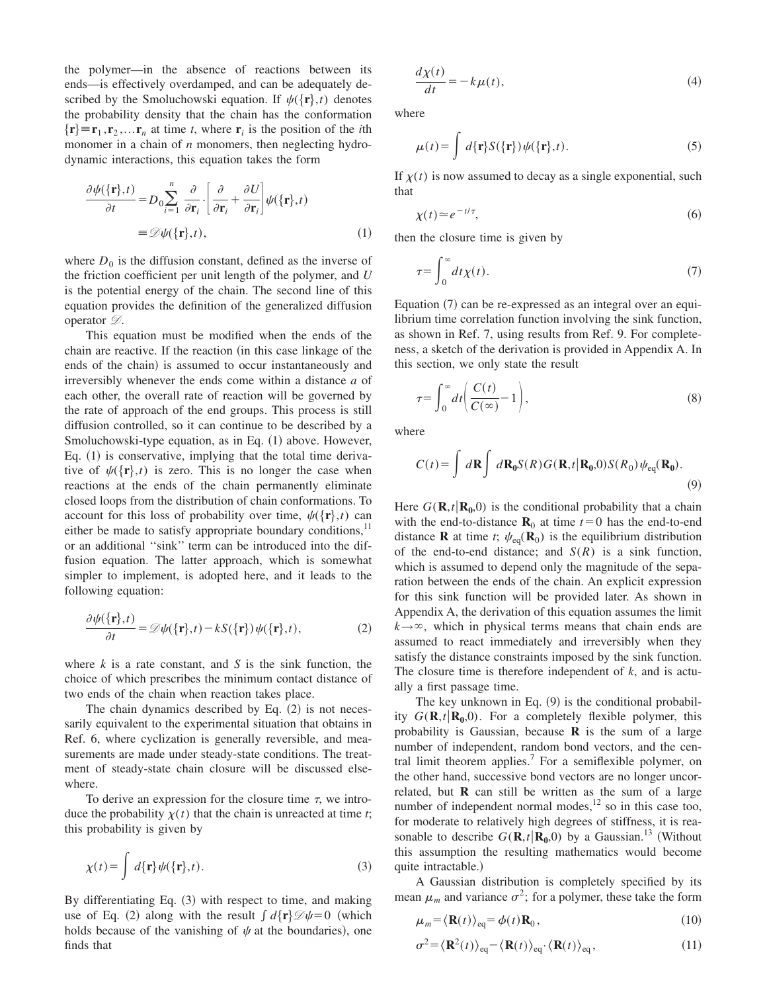the polymer—in the absence of reactions between its ends—is effectively overdamped, and can be adequately described by the Smoluchowski equation. If  $\psi({\bf r},t)$  denotes the probability density that the chain has the conformation  $\{r\} \equiv r_1, r_2, \dots r_n$  at time *t*, where  $r_i$  is the position of the *i*th monomer in a chain of *n* monomers, then neglecting hydrodynamic interactions, this equation takes the form

$$
\frac{\partial \psi(\{\mathbf{r}\},t)}{\partial t} = D_0 \sum_{i=1}^n \frac{\partial}{\partial \mathbf{r}_i} \cdot \left[\frac{\partial}{\partial \mathbf{r}_i} + \frac{\partial U}{\partial \mathbf{r}_i}\right] \psi(\{\mathbf{r}\},t)
$$

$$
\equiv \mathcal{D}\psi(\{\mathbf{r}\},t), \tag{1}
$$

where  $D_0$  is the diffusion constant, defined as the inverse of the friction coefficient per unit length of the polymer, and *U* is the potential energy of the chain. The second line of this equation provides the definition of the generalized diffusion operator  $\mathcal{D}$ .

This equation must be modified when the ends of the chain are reactive. If the reaction (in this case linkage of the ends of the chain) is assumed to occur instantaneously and irreversibly whenever the ends come within a distance *a* of each other, the overall rate of reaction will be governed by the rate of approach of the end groups. This process is still diffusion controlled, so it can continue to be described by a Smoluchowski-type equation, as in Eq.  $(1)$  above. However, Eq.  $(1)$  is conservative, implying that the total time derivative of  $\psi({\bf r},t)$  is zero. This is no longer the case when reactions at the ends of the chain permanently eliminate closed loops from the distribution of chain conformations. To account for this loss of probability over time,  $\psi({\bf r},t)$  can either be made to satisfy appropriate boundary conditions, $^{11}$ or an additional ''sink'' term can be introduced into the diffusion equation. The latter approach, which is somewhat simpler to implement, is adopted here, and it leads to the following equation:

$$
\frac{\partial \psi(\{\mathbf{r}\},t)}{\partial t} = \mathcal{D}\psi(\{\mathbf{r}\},t) - kS(\{\mathbf{r}\})\psi(\{\mathbf{r}\},t),\tag{2}
$$

where *k* is a rate constant, and *S* is the sink function, the choice of which prescribes the minimum contact distance of two ends of the chain when reaction takes place.

The chain dynamics described by Eq.  $(2)$  is not necessarily equivalent to the experimental situation that obtains in Ref. 6, where cyclization is generally reversible, and measurements are made under steady-state conditions. The treatment of steady-state chain closure will be discussed elsewhere.

To derive an expression for the closure time  $\tau$ , we introduce the probability  $\chi(t)$  that the chain is unreacted at time *t*; this probability is given by

$$
\chi(t) = \int d\{\mathbf{r}\} \psi(\{\mathbf{r}\}, t). \tag{3}
$$

By differentiating Eq.  $(3)$  with respect to time, and making use of Eq. (2) along with the result  $\int d\{\mathbf{r}\}\mathcal{D}\psi = 0$  (which holds because of the vanishing of  $\psi$  at the boundaries), one finds that

$$
\frac{d\chi(t)}{dt} = -k\mu(t),\tag{4}
$$

where

$$
\mu(t) = \int d\{\mathbf{r}\} S(\{\mathbf{r}\}) \psi(\{\mathbf{r}\}, t). \tag{5}
$$

If  $\chi(t)$  is now assumed to decay as a single exponential, such that

$$
\chi(t) \simeq e^{-t/\tau},\tag{6}
$$

then the closure time is given by

$$
\tau = \int_0^\infty dt \chi(t). \tag{7}
$$

Equation  $(7)$  can be re-expressed as an integral over an equilibrium time correlation function involving the sink function, as shown in Ref. 7, using results from Ref. 9. For completeness, a sketch of the derivation is provided in Appendix A. In this section, we only state the result

$$
\tau = \int_0^\infty dt \bigg( \frac{C(t)}{C(\infty)} - 1 \bigg),\tag{8}
$$

where

$$
C(t) = \int d\mathbf{R} \int d\mathbf{R}_0 S(R) G(\mathbf{R}, t | \mathbf{R}_0, 0) S(R_0) \psi_{\text{eq}}(\mathbf{R}_0).
$$
\n(9)

Here  $G(\mathbf{R}, t | \mathbf{R}_{0}, 0)$  is the conditional probability that a chain with the end-to-distance  $\mathbf{R}_0$  at time  $t=0$  has the end-to-end distance **R** at time *t*;  $\psi_{eq}(\mathbf{R}_0)$  is the equilibrium distribution of the end-to-end distance; and *S*(*R*) is a sink function, which is assumed to depend only the magnitude of the separation between the ends of the chain. An explicit expression for this sink function will be provided later. As shown in Appendix A, the derivation of this equation assumes the limit  $k \rightarrow \infty$ , which in physical terms means that chain ends are assumed to react immediately and irreversibly when they satisfy the distance constraints imposed by the sink function. The closure time is therefore independent of *k*, and is actually a first passage time.

The key unknown in Eq.  $(9)$  is the conditional probability  $G(\mathbf{R}, t | \mathbf{R}_0, 0)$ . For a completely flexible polymer, this probability is Gaussian, because **R** is the sum of a large number of independent, random bond vectors, and the central limit theorem applies.<sup>7</sup> For a semiflexible polymer, on the other hand, successive bond vectors are no longer uncorrelated, but **R** can still be written as the sum of a large number of independent normal modes,<sup>12</sup> so in this case too, for moderate to relatively high degrees of stiffness, it is reasonable to describe  $G(\mathbf{R},t|\mathbf{R}_0,0)$  by a Gaussian.<sup>13</sup> (Without this assumption the resulting mathematics would become quite intractable.)

A Gaussian distribution is completely specified by its mean  $\mu_m$  and variance  $\sigma^2$ ; for a polymer, these take the form

$$
\mu_m = \langle \mathbf{R}(t) \rangle_{\text{eq}} = \phi(t) \mathbf{R}_0, \tag{10}
$$

$$
\sigma^2 = \langle \mathbf{R}^2(t) \rangle_{\text{eq}} - \langle \mathbf{R}(t) \rangle_{\text{eq}} \cdot \langle \mathbf{R}(t) \rangle_{\text{eq}},\tag{11}
$$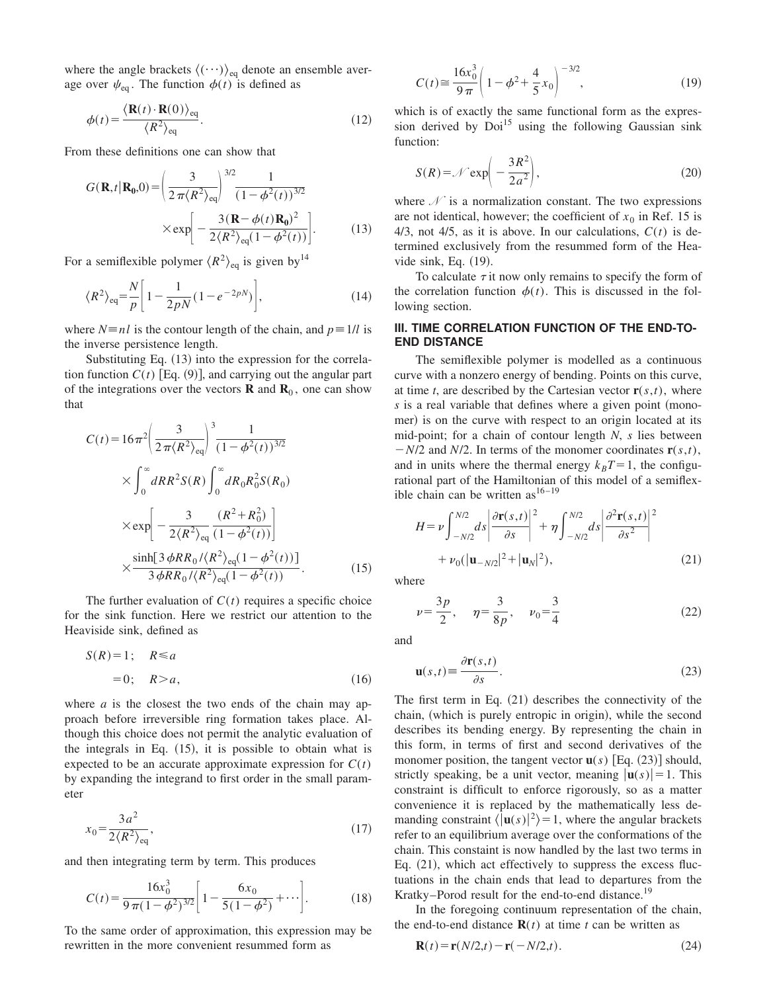where the angle brackets  $\langle (\cdots) \rangle_{eq}$  denote an ensemble average over  $\psi_{\text{eq}}$ . The function  $\phi(t)$  is defined as

$$
\phi(t) = \frac{\langle \mathbf{R}(t) \cdot \mathbf{R}(0) \rangle_{\text{eq}}}{\langle R^2 \rangle_{\text{eq}}}.
$$
\n(12)

From these definitions one can show that

$$
G(\mathbf{R}, t | \mathbf{R_0}, 0) = \left(\frac{3}{2\pi \langle R^2 \rangle_{\text{eq}}}\right)^{3/2} \frac{1}{(1 - \phi^2(t))^{3/2}}
$$

$$
\times \exp\left[-\frac{3(\mathbf{R} - \phi(t)\mathbf{R_0})^2}{2\langle R^2 \rangle_{\text{eq}}(1 - \phi^2(t))}\right].
$$
(13)

For a semiflexible polymer  $\langle R^2 \rangle_{\text{eq}}$  is given by<sup>14</sup>

$$
\langle R^2 \rangle_{\text{eq}} = \frac{N}{p} \bigg[ 1 - \frac{1}{2pN} (1 - e^{-2pN}) \bigg],\tag{14}
$$

where  $N \equiv n \ell$  is the contour length of the chain, and  $p \equiv 1/\ell$  is the inverse persistence length.

Substituting Eq.  $(13)$  into the expression for the correlation function  $C(t)$  [Eq. (9)], and carrying out the angular part of the integrations over the vectors  $\mathbf{R}$  and  $\mathbf{R}_0$ , one can show that

$$
C(t) = 16\pi^2 \left(\frac{3}{2\pi \langle R^2 \rangle_{\text{eq}}}\right)^3 \frac{1}{(1 - \phi^2(t))^{3/2}}
$$
  
 
$$
\times \int_0^\infty dR R^2 S(R) \int_0^\infty dR_0 R_0^2 S(R_0)
$$
  
 
$$
\times \exp\left[-\frac{3}{2 \langle R^2 \rangle_{\text{eq}}} \frac{(R^2 + R_0^2)}{(1 - \phi^2(t))}\right]
$$
  
 
$$
\times \frac{\sinh[3 \phi R R_0 / \langle R^2 \rangle_{\text{eq}} (1 - \phi^2(t))]}{3 \phi R R_0 / \langle R^2 \rangle_{\text{eq}} (1 - \phi^2(t))}. \tag{15}
$$

The further evaluation of  $C(t)$  requires a specific choice for the sink function. Here we restrict our attention to the Heaviside sink, defined as

$$
S(R) = 1; \quad R \le a
$$
  
= 0; \quad R > a, \tag{16}

where *a* is the closest the two ends of the chain may approach before irreversible ring formation takes place. Although this choice does not permit the analytic evaluation of the integrals in Eq.  $(15)$ , it is possible to obtain what is expected to be an accurate approximate expression for  $C(t)$ by expanding the integrand to first order in the small parameter

$$
x_0 = \frac{3a^2}{2\langle R^2 \rangle_{\text{eq}}},\tag{17}
$$

and then integrating term by term. This produces

$$
C(t) = \frac{16x_0^3}{9\pi(1-\phi^2)^{3/2}} \left[ 1 - \frac{6x_0}{5(1-\phi^2)} + \cdots \right].
$$
 (18)

To the same order of approximation, this expression may be rewritten in the more convenient resummed form as

$$
C(t) \approx \frac{16x_0^3}{9\pi} \left( 1 - \phi^2 + \frac{4}{5}x_0 \right)^{-3/2},
$$
 (19)

which is of exactly the same functional form as the expression derived by  $Doi<sup>15</sup>$  using the following Gaussian sink function:

$$
S(R) = \mathcal{N} \exp\left(-\frac{3R^2}{2a^2}\right),\tag{20}
$$

where  $\mathcal N$  is a normalization constant. The two expressions are not identical, however; the coefficient of  $x_0$  in Ref. 15 is 4/3, not 4/5, as it is above. In our calculations,  $C(t)$  is determined exclusively from the resummed form of the Heavide sink, Eq.  $(19)$ .

To calculate  $\tau$  it now only remains to specify the form of the correlation function  $\phi(t)$ . This is discussed in the following section.

### **III. TIME CORRELATION FUNCTION OF THE END-TO-END DISTANCE**

The semiflexible polymer is modelled as a continuous curve with a nonzero energy of bending. Points on this curve, at time *t*, are described by the Cartesian vector  $\mathbf{r}(s,t)$ , where *s* is a real variable that defines where a given point (monomer) is on the curve with respect to an origin located at its mid-point; for a chain of contour length *N*, *s* lies between  $-N/2$  and  $N/2$ . In terms of the monomer coordinates  $\mathbf{r}(s,t)$ , and in units where the thermal energy  $k_B T = 1$ , the configurational part of the Hamiltonian of this model of a semiflexible chain can be written as  $16-19$ 

$$
H = \nu \int_{-N/2}^{N/2} ds \left| \frac{\partial \mathbf{r}(s,t)}{\partial s} \right|^2 + \eta \int_{-N/2}^{N/2} ds \left| \frac{\partial^2 \mathbf{r}(s,t)}{\partial s^2} \right|^2
$$
  
+  $\nu_0 (|\mathbf{u}_{-N/2}|^2 + |\mathbf{u}_N|^2),$  (21)

where

 $v = \frac{3p}{2}$  $rac{3p}{2}$ ,  $\eta = \frac{3}{8p}$  $rac{3}{8p}$ ,  $v_0 = \frac{3}{4}$ 4  $(22)$ 

and

$$
\mathbf{u}(s,t) \equiv \frac{\partial \mathbf{r}(s,t)}{\partial s}.
$$
 (23)

The first term in Eq.  $(21)$  describes the connectivity of the chain, (which is purely entropic in origin), while the second describes its bending energy. By representing the chain in this form, in terms of first and second derivatives of the monomer position, the tangent vector  $\mathbf{u}(s)$  [Eq. (23)] should, strictly speaking, be a unit vector, meaning  $|\mathbf{u}(s)| = 1$ . This constraint is difficult to enforce rigorously, so as a matter convenience it is replaced by the mathematically less demanding constraint  $\langle \mathbf{u}(s)|^2 \rangle = 1$ , where the angular brackets refer to an equilibrium average over the conformations of the chain. This constaint is now handled by the last two terms in Eq.  $(21)$ , which act effectively to suppress the excess fluctuations in the chain ends that lead to departures from the Kratky–Porod result for the end-to-end distance.<sup>19</sup>

In the foregoing continuum representation of the chain, the end-to-end distance  $\mathbf{R}(t)$  at time *t* can be written as

$$
\mathbf{R}(t) = \mathbf{r}(N/2, t) - \mathbf{r}(-N/2, t).
$$
 (24)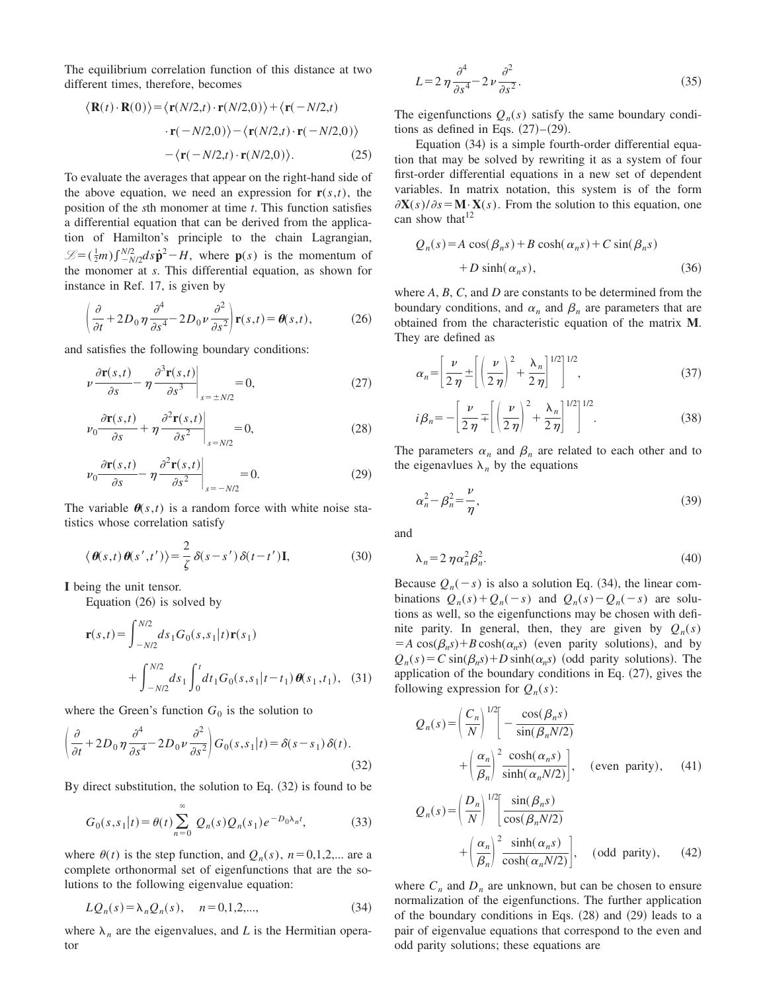The equilibrium correlation function of this distance at two different times, therefore, becomes

$$
\langle \mathbf{R}(t) \cdot \mathbf{R}(0) \rangle = \langle \mathbf{r}(N/2,t) \cdot \mathbf{r}(N/2,0) \rangle + \langle \mathbf{r}(-N/2,t) \cdot \mathbf{r}(-N/2,0) \rangle - \langle \mathbf{r}(N/2,t) \cdot \mathbf{r}(-N/2,0) \rangle - \langle \mathbf{r}(-N/2,t) \cdot \mathbf{r}(N/2,0) \rangle.
$$
 (25)

To evaluate the averages that appear on the right-hand side of the above equation, we need an expression for  $\mathbf{r}(s,t)$ , the position of the *s*th monomer at time *t*. This function satisfies a differential equation that can be derived from the application of Hamilton's principle to the chain Lagrangian,  $\mathscr{L} = (\frac{1}{2}m) \int_{-N/2}^{N/2} ds \dot{\mathbf{p}}^2 - H$ , where  $\mathbf{p}(s)$  is the momentum of the monomer at *s*. This differential equation, as shown for instance in Ref. 17, is given by

$$
\left(\frac{\partial}{\partial t} + 2D_0 \eta \frac{\partial^4}{\partial s^4} - 2D_0 \nu \frac{\partial^2}{\partial s^2}\right) \mathbf{r}(s, t) = \theta(s, t),\tag{26}
$$

and satisfies the following boundary conditions:

$$
\nu \frac{\partial \mathbf{r}(s,t)}{\partial s} - \eta \frac{\partial^3 \mathbf{r}(s,t)}{\partial s^3} \bigg|_{s = \pm N/2} = 0,
$$
\n(27)

$$
\left. \nu_0 \frac{\partial \mathbf{r}(s,t)}{\partial s} + \eta \frac{\partial^2 \mathbf{r}(s,t)}{\partial s^2} \right|_{s=N/2} = 0,
$$
\n(28)

$$
\left. \nu_0 \frac{\partial \mathbf{r}(s,t)}{\partial s} - \eta \frac{\partial^2 \mathbf{r}(s,t)}{\partial s^2} \right|_{s = -N/2} = 0. \tag{29}
$$

The variable  $\theta(s,t)$  is a random force with white noise statistics whose correlation satisfy

$$
\langle \boldsymbol{\theta}(s,t) \boldsymbol{\theta}(s',t') \rangle = \frac{2}{\zeta} \delta(s-s') \delta(t-t') \mathbf{I},
$$
 (30)

**I** being the unit tensor.

Equation  $(26)$  is solved by

$$
\mathbf{r}(s,t) = \int_{-N/2}^{N/2} ds_1 G_0(s,s_1|t) \mathbf{r}(s_1)
$$
  
+ 
$$
\int_{-N/2}^{N/2} ds_1 \int_0^t dt_1 G_0(s,s_1|t-t_1) \boldsymbol{\theta}(s_1,t_1), \quad (31)
$$

where the Green's function  $G_0$  is the solution to

$$
\left(\frac{\partial}{\partial t} + 2D_0 \eta \frac{\partial^4}{\partial s^4} - 2D_0 \nu \frac{\partial^2}{\partial s^2}\right) G_0(s, s_1|t) = \delta(s - s_1) \delta(t).
$$
\n(32)

By direct substitution, the solution to Eq.  $(32)$  is found to be

$$
G_0(s,s_1|t) = \theta(t) \sum_{n=0}^{\infty} Q_n(s) Q_n(s_1) e^{-D_0 \lambda_n t},
$$
 (33)

where  $\theta(t)$  is the step function, and  $Q_n(s)$ ,  $n=0,1,2,...$  are a complete orthonormal set of eigenfunctions that are the solutions to the following eigenvalue equation:

$$
LQ_n(s) = \lambda_n Q_n(s), \quad n = 0, 1, 2, \dots,
$$
\n(34)

where  $\lambda_n$  are the eigenvalues, and *L* is the Hermitian operator

$$
L = 2 \eta \frac{\partial^4}{\partial s^4} - 2 \nu \frac{\partial^2}{\partial s^2}.
$$
 (35)

The eigenfunctions  $Q_n(s)$  satisfy the same boundary conditions as defined in Eqs.  $(27)-(29)$ .

Equation  $(34)$  is a simple fourth-order differential equation that may be solved by rewriting it as a system of four first-order differential equations in a new set of dependent variables. In matrix notation, this system is of the form  $\partial$ **X**(*s*)/ $\partial$ *s* = **M**·**X**(*s*). From the solution to this equation, one can show that  $12$ 

$$
Q_n(s) = A \cos(\beta_n s) + B \cosh(\alpha_n s) + C \sin(\beta_n s)
$$
  
+ 
$$
D \sinh(\alpha_n s),
$$
 (36)

where *A*, *B*, *C*, and *D* are constants to be determined from the boundary conditions, and  $\alpha_n$  and  $\beta_n$  are parameters that are obtained from the characteristic equation of the matrix **M**. They are defined as

$$
\alpha_n = \left[\frac{\nu}{2\,\eta} \pm \left[ \left(\frac{\nu}{2\,\eta}\right)^2 + \frac{\lambda_n}{2\,\eta} \right]^{1/2} \right]^{1/2},\tag{37}
$$

$$
i\beta_n = -\left[\frac{\nu}{2\,\eta} \mp \left[\left(\frac{\nu}{2\,\eta}\right)^2 + \frac{\lambda_n}{2\,\eta}\right]^{1/2}\right]^{1/2}.\tag{38}
$$

The parameters  $\alpha_n$  and  $\beta_n$  are related to each other and to the eigenavlues  $\lambda_n$  by the equations

$$
\alpha_n^2 - \beta_n^2 = \frac{\nu}{\eta},\tag{39}
$$

and

$$
\lambda_n = 2 \eta \alpha_n^2 \beta_n^2. \tag{40}
$$

Because  $Q_n(-s)$  is also a solution Eq. (34), the linear combinations  $Q_n(s) + Q_n(-s)$  and  $Q_n(s) - Q_n(-s)$  are solutions as well, so the eigenfunctions may be chosen with definite parity. In general, then, they are given by  $Q_n(s)$  $= A \cos(\beta_n s) + B \cosh(\alpha_n s)$  (even parity solutions), and by  $Q_n(s) = C \sin(\beta_n s) + D \sinh(\alpha_n s)$  (odd parity solutions). The application of the boundary conditions in Eq.  $(27)$ , gives the following expression for  $Q_n(s)$ :

$$
Q_n(s) = \left(\frac{C_n}{N}\right)^{1/2} \left[ -\frac{\cos(\beta_n s)}{\sin(\beta_n N/2)} + \left(\frac{\alpha_n}{\beta_n}\right)^2 \frac{\cosh(\alpha_n s)}{\sinh(\alpha_n N/2)} \right], \quad \text{(even parity)}, \quad (41)
$$

$$
Q_n(s) = \left(\frac{D_n}{N}\right)^{1/2} \left[\frac{\sin(\beta_n s)}{\cos(\beta_n N/2)} + \left(\frac{\alpha_n}{\beta_n}\right)^2 \frac{\sinh(\alpha_n s)}{\cosh(\alpha_n N/2)}\right], \quad \text{(odd parity)}, \quad (42)
$$

where  $C_n$  and  $D_n$  are unknown, but can be chosen to ensure normalization of the eigenfunctions. The further application of the boundary conditions in Eqs.  $(28)$  and  $(29)$  leads to a pair of eigenvalue equations that correspond to the even and odd parity solutions; these equations are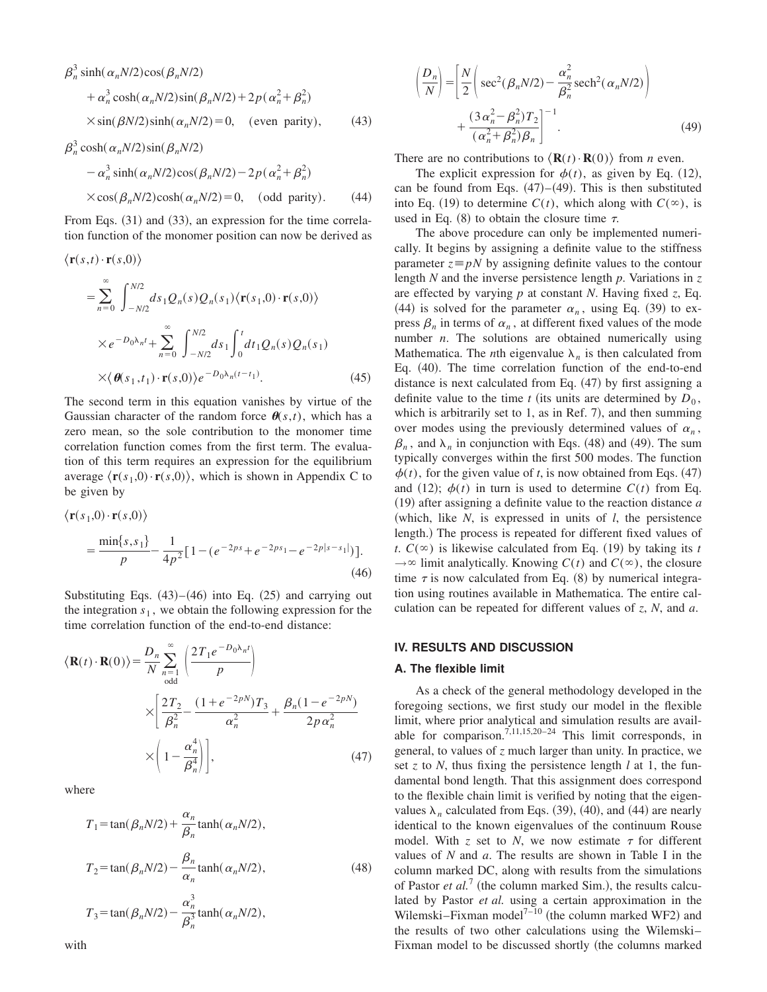$$
\beta_n^3 \sinh(\alpha_n N/2) \cos(\beta_n N/2)
$$
  
+  $\alpha_n^3 \cosh(\alpha_n N/2) \sin(\beta_n N/2) + 2p(\alpha_n^2 + \beta_n^2)$   
×  $\sin(\beta N/2) \sinh(\alpha_n N/2) = 0$ , (even parity), (43)  
 $\beta_n^3 \cosh(\alpha_n N/2) \sin(\beta_n N/2)$ 

$$
- \alpha_n^3 \sinh(\alpha_n N/2) \cos(\beta_n N/2) - 2p(\alpha_n^2 + \beta_n^2)
$$
  
× cos( $\beta_n N/2$ )cosh( $\alpha_n N/2$ ) = 0, (odd parity). (44)

From Eqs.  $(31)$  and  $(33)$ , an expression for the time correlation function of the monomer position can now be derived as

$$
\langle \mathbf{r}(s,t) \cdot \mathbf{r}(s,0) \rangle
$$
  
\n
$$
= \sum_{n=0}^{\infty} \int_{-N/2}^{N/2} ds_1 Q_n(s) Q_n(s_1) \langle \mathbf{r}(s_1,0) \cdot \mathbf{r}(s,0) \rangle
$$
  
\n
$$
\times e^{-D_0 \lambda_n t} + \sum_{n=0}^{\infty} \int_{-N/2}^{N/2} ds_1 \int_0^t dt_1 Q_n(s) Q_n(s_1)
$$
  
\n
$$
\times \langle \boldsymbol{\theta}(s_1,t_1) \cdot \mathbf{r}(s,0) \rangle e^{-D_0 \lambda_n (t-t_1)}.
$$
 (45)

The second term in this equation vanishes by virtue of the Gaussian character of the random force  $\theta(s,t)$ , which has a zero mean, so the sole contribution to the monomer time correlation function comes from the first term. The evaluation of this term requires an expression for the equilibrium average  $\langle \mathbf{r}(s_1,0) \cdot \mathbf{r}(s,0) \rangle$ , which is shown in Appendix C to be given by

$$
\langle \mathbf{r}(s_1,0) \cdot \mathbf{r}(s,0) \rangle
$$
  
= 
$$
\frac{\min\{s,s_1\}}{p} - \frac{1}{4p^2} [1 - (e^{-2ps} + e^{-2ps_1} - e^{-2p|s-s_1|})].
$$
 (46)

Substituting Eqs.  $(43)–(46)$  into Eq.  $(25)$  and carrying out the integration  $s_1$ , we obtain the following expression for the time correlation function of the end-to-end distance:

$$
\langle \mathbf{R}(t) \cdot \mathbf{R}(0) \rangle = \frac{D_n}{N} \sum_{n=1}^{\infty} \left( \frac{2T_1 e^{-D_0 \lambda_n t}}{p} \right)
$$

$$
\times \left( \frac{2T_2}{\beta_n^2} - \frac{(1 + e^{-2pN})T_3}{\alpha_n^2} + \frac{\beta_n (1 - e^{-2pN})}{2p \alpha_n^2} \right)
$$

$$
\times \left( 1 - \frac{\alpha_n^4}{\beta_n^4} \right), \tag{47}
$$

where

$$
T_1 = \tan(\beta_n N/2) + \frac{\alpha_n}{\beta_n} \tanh(\alpha_n N/2),
$$
  
\n
$$
T_2 = \tan(\beta_n N/2) - \frac{\beta_n}{\alpha_n} \tanh(\alpha_n N/2),
$$
  
\n
$$
T_3 = \tan(\beta_n N/2) - \frac{\alpha_n^3}{\beta_n^3} \tanh(\alpha_n N/2),
$$
\n(48)

$$
\left(\frac{D_n}{N}\right) = \left[\frac{N}{2}\left(\sec^2(\beta_n N/2) - \frac{\alpha_n^2}{\beta_n^2}\operatorname{sech}^2(\alpha_n N/2)\right) + \frac{(3\alpha_n^2 - \beta_n^2)T_2}{(\alpha_n^2 + \beta_n^2)\beta_n}\right]^{-1}.
$$
\n(49)

There are no contributions to  $\langle \mathbf{R}(t) \cdot \mathbf{R}(0) \rangle$  from *n* even.

The explicit expression for  $\phi(t)$ , as given by Eq. (12), can be found from Eqs.  $(47)–(49)$ . This is then substituted into Eq. (19) to determine  $C(t)$ , which along with  $C(\infty)$ , is used in Eq.  $(8)$  to obtain the closure time  $\tau$ .

The above procedure can only be implemented numerically. It begins by assigning a definite value to the stiffness parameter  $z \equiv pN$  by assigning definite values to the contour length *N* and the inverse persistence length *p*. Variations in *z* are effected by varying *p* at constant *N*. Having fixed *z*, Eq. (44) is solved for the parameter  $\alpha_n$ , using Eq. (39) to express  $\beta_n$  in terms of  $\alpha_n$ , at different fixed values of the mode number *n*. The solutions are obtained numerically using Mathematica. The *n*th eigenvalue  $\lambda_n$  is then calculated from Eq.  $(40)$ . The time correlation function of the end-to-end distance is next calculated from Eq.  $(47)$  by first assigning a definite value to the time *t* (its units are determined by  $D_0$ , which is arbitrarily set to 1, as in Ref. 7), and then summing over modes using the previously determined values of  $\alpha_n$ ,  $\beta_n$ , and  $\lambda_n$  in conjunction with Eqs. (48) and (49). The sum typically converges within the first 500 modes. The function  $\phi(t)$ , for the given value of *t*, is now obtained from Eqs. (47) and (12);  $\phi(t)$  in turn is used to determine  $C(t)$  from Eq.  $(19)$  after assigning a definite value to the reaction distance  $a$ (which, like  $N$ , is expressed in units of  $l$ , the persistence length.) The process is repeated for different fixed values of *t*.  $C(\infty)$  is likewise calculated from Eq. (19) by taking its *t*  $\rightarrow \infty$  limit analytically. Knowing *C*(*t*) and *C*( $\infty$ ), the closure time  $\tau$  is now calculated from Eq. (8) by numerical integration using routines available in Mathematica. The entire calculation can be repeated for different values of *z*, *N*, and *a*.

## **IV. RESULTS AND DISCUSSION**

#### **A. The flexible limit**

As a check of the general methodology developed in the foregoing sections, we first study our model in the flexible limit, where prior analytical and simulation results are available for comparison.<sup>7,11,15,20-24</sup> This limit corresponds, in general, to values of *z* much larger than unity. In practice, we set *z* to *N*, thus fixing the persistence length *l* at 1, the fundamental bond length. That this assignment does correspond to the flexible chain limit is verified by noting that the eigenvalues  $\lambda_n$  calculated from Eqs. (39), (40), and (44) are nearly identical to the known eigenvalues of the continuum Rouse model. With  $z$  set to  $N$ , we now estimate  $\tau$  for different values of *N* and *a*. The results are shown in Table I in the column marked DC, along with results from the simulations of Pastor *et al.*<sup>7</sup> (the column marked Sim.), the results calculated by Pastor *et al.* using a certain approximation in the Wilemski–Fixman model<sup> $7-10$ </sup> (the column marked WF2) and the results of two other calculations using the Wilemski– Fixman model to be discussed shortly (the columns marked

with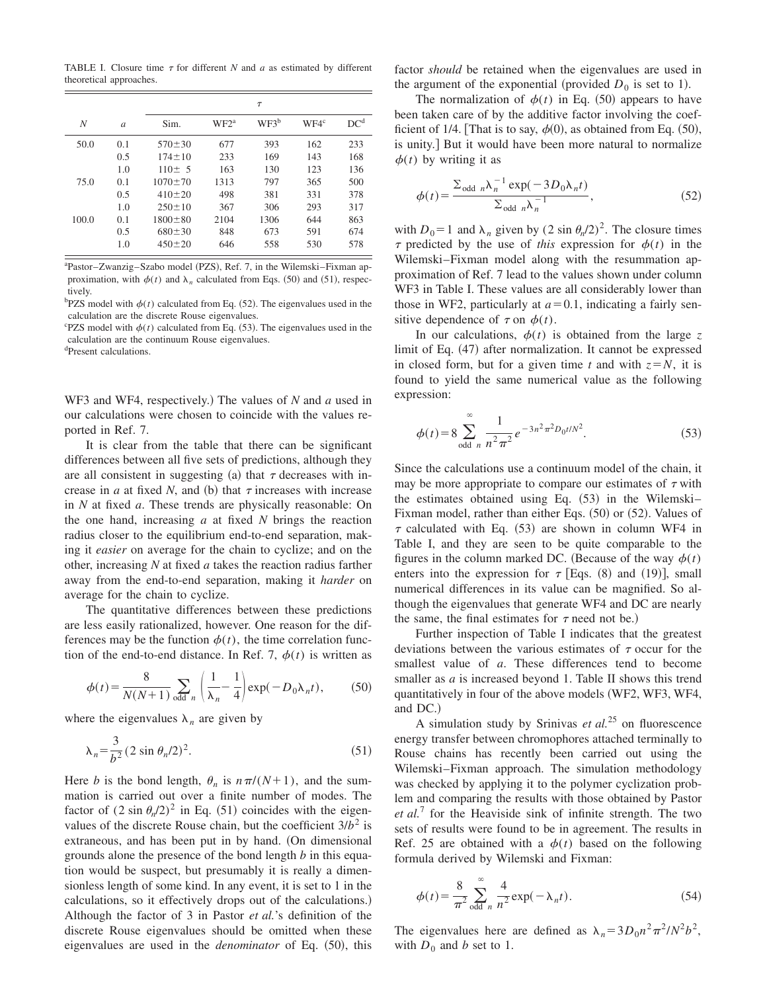TABLE I. Closure time  $\tau$  for different *N* and *a* as estimated by different theoretical approaches.

|       |               | $\tau$        |                  |         |         |                 |
|-------|---------------|---------------|------------------|---------|---------|-----------------|
| N     | $\mathfrak a$ | Sim.          | WF2 <sup>a</sup> | $WF3^b$ | $WFA^c$ | DC <sup>d</sup> |
| 50.0  | 0.1           | $570 \pm 30$  | 677              | 393     | 162     | 233             |
|       | 0.5           | $174 + 10$    | 233              | 169     | 143     | 168             |
|       | 1.0           | $110 \pm 5$   | 163              | 130     | 123     | 136             |
| 75.0  | 0.1           | $1070 \pm 70$ | 1313             | 797     | 365     | 500             |
|       | 0.5           | $410 \pm 20$  | 498              | 381     | 331     | 378             |
|       | 1.0           | $250 \pm 10$  | 367              | 306     | 293     | 317             |
| 100.0 | 0.1           | $1800 \pm 80$ | 2104             | 1306    | 644     | 863             |
|       | 0.5           | $680 \pm 30$  | 848              | 673     | 591     | 674             |
|       | 1.0           | $450 \pm 20$  | 646              | 558     | 530     | 578             |

<sup>a</sup>Pastor–Zwanzig–Szabo model (PZS), Ref. 7, in the Wilemski–Fixman approximation, with  $\phi(t)$  and  $\lambda_n$  calculated from Eqs. (50) and (51), respectively.

 $b$ PZS model with  $\phi(t)$  calculated from Eq. (52). The eigenvalues used in the calculation are the discrete Rouse eigenvalues.

<sup>c</sup>PZS model with  $\phi(t)$  calculated from Eq. (53). The eigenvalues used in the calculation are the continuum Rouse eigenvalues.

<sup>d</sup>Present calculations.

WF3 and WF4, respectively.) The values of *N* and *a* used in our calculations were chosen to coincide with the values reported in Ref. 7.

It is clear from the table that there can be significant differences between all five sets of predictions, although they are all consistent in suggesting (a) that  $\tau$  decreases with increase in *a* at fixed *N*, and (b) that  $\tau$  increases with increase in *N* at fixed *a*. These trends are physically reasonable: On the one hand, increasing *a* at fixed *N* brings the reaction radius closer to the equilibrium end-to-end separation, making it *easier* on average for the chain to cyclize; and on the other, increasing *N* at fixed *a* takes the reaction radius farther away from the end-to-end separation, making it *harder* on average for the chain to cyclize.

The quantitative differences between these predictions are less easily rationalized, however. One reason for the differences may be the function  $\phi(t)$ , the time correlation function of the end-to-end distance. In Ref. 7,  $\phi(t)$  is written as

$$
\phi(t) = \frac{8}{N(N+1)} \sum_{\text{odd } n} \left( \frac{1}{\lambda_n} - \frac{1}{4} \right) \exp(-D_0 \lambda_n t), \tag{50}
$$

where the eigenvalues  $\lambda_n$  are given by

$$
\lambda_n = \frac{3}{b^2} (2 \sin \theta_n / 2)^2.
$$
 (51)

Here *b* is the bond length,  $\theta_n$  is  $n\pi/(N+1)$ , and the summation is carried out over a finite number of modes. The factor of  $(2 \sin \theta_n/2)^2$  in Eq. (51) coincides with the eigenvalues of the discrete Rouse chain, but the coefficient  $3/b^2$  is extraneous, and has been put in by hand. (On dimensional grounds alone the presence of the bond length *b* in this equation would be suspect, but presumably it is really a dimensionless length of some kind. In any event, it is set to 1 in the calculations, so it effectively drops out of the calculations.) Although the factor of 3 in Pastor *et al.*'s definition of the discrete Rouse eigenvalues should be omitted when these eigenvalues are used in the *denominator* of Eq.  $(50)$ , this factor *should* be retained when the eigenvalues are used in the argument of the exponential (provided  $D_0$  is set to 1).

The normalization of  $\phi(t)$  in Eq. (50) appears to have been taken care of by the additive factor involving the coefficient of 1/4. [That is to say,  $\phi(0)$ , as obtained from Eq. (50), is unity.] But it would have been more natural to normalize  $\phi(t)$  by writing it as

$$
\phi(t) = \frac{\sum_{\text{odd }n} \lambda_n^{-1} \exp(-3D_0 \lambda_n t)}{\sum_{\text{odd }n} \lambda_n^{-1}},
$$
\n(52)

with  $D_0=1$  and  $\lambda_n$  given by  $(2 \sin \theta_n/2)^2$ . The closure times  $\tau$  predicted by the use of *this* expression for  $\phi(t)$  in the Wilemski–Fixman model along with the resummation approximation of Ref. 7 lead to the values shown under column WF3 in Table I. These values are all considerably lower than those in WF2, particularly at  $a=0.1$ , indicating a fairly sensitive dependence of  $\tau$  on  $\phi(t)$ .

In our calculations,  $\phi(t)$  is obtained from the large *z* limit of Eq.  $(47)$  after normalization. It cannot be expressed in closed form, but for a given time *t* and with  $z = N$ , it is found to yield the same numerical value as the following expression:

$$
\phi(t) = 8 \sum_{\text{odd } n}^{\infty} \frac{1}{n^2 \pi^2} e^{-3n^2 \pi^2 D_0 t / N^2}.
$$
 (53)

Since the calculations use a continuum model of the chain, it may be more appropriate to compare our estimates of  $\tau$  with the estimates obtained using Eq.  $(53)$  in the Wilemski– Fixman model, rather than either Eqs.  $(50)$  or  $(52)$ . Values of  $\tau$  calculated with Eq. (53) are shown in column WF4 in Table I, and they are seen to be quite comparable to the figures in the column marked DC. (Because of the way  $\phi(t)$ ) enters into the expression for  $\tau$  [Eqs. (8) and (19)], small numerical differences in its value can be magnified. So although the eigenvalues that generate WF4 and DC are nearly the same, the final estimates for  $\tau$  need not be.)

Further inspection of Table I indicates that the greatest deviations between the various estimates of  $\tau$  occur for the smallest value of *a*. These differences tend to become smaller as *a* is increased beyond 1. Table II shows this trend quantitatively in four of the above models (WF2, WF3, WF4, and DC.)

A simulation study by Srinivas *et al.*<sup>25</sup> on fluorescence energy transfer between chromophores attached terminally to Rouse chains has recently been carried out using the Wilemski–Fixman approach. The simulation methodology was checked by applying it to the polymer cyclization problem and comparing the results with those obtained by Pastor *et al.*<sup>7</sup> for the Heaviside sink of infinite strength. The two sets of results were found to be in agreement. The results in Ref. 25 are obtained with a  $\phi(t)$  based on the following formula derived by Wilemski and Fixman:

$$
\phi(t) = \frac{8}{\pi^2} \sum_{\text{odd } n}^{\infty} \frac{4}{n^2} \exp(-\lambda_n t). \tag{54}
$$

The eigenvalues here are defined as  $\lambda_n = 3D_0 n^2 \pi^2 /N^2 b^2$ , with  $D_0$  and *b* set to 1.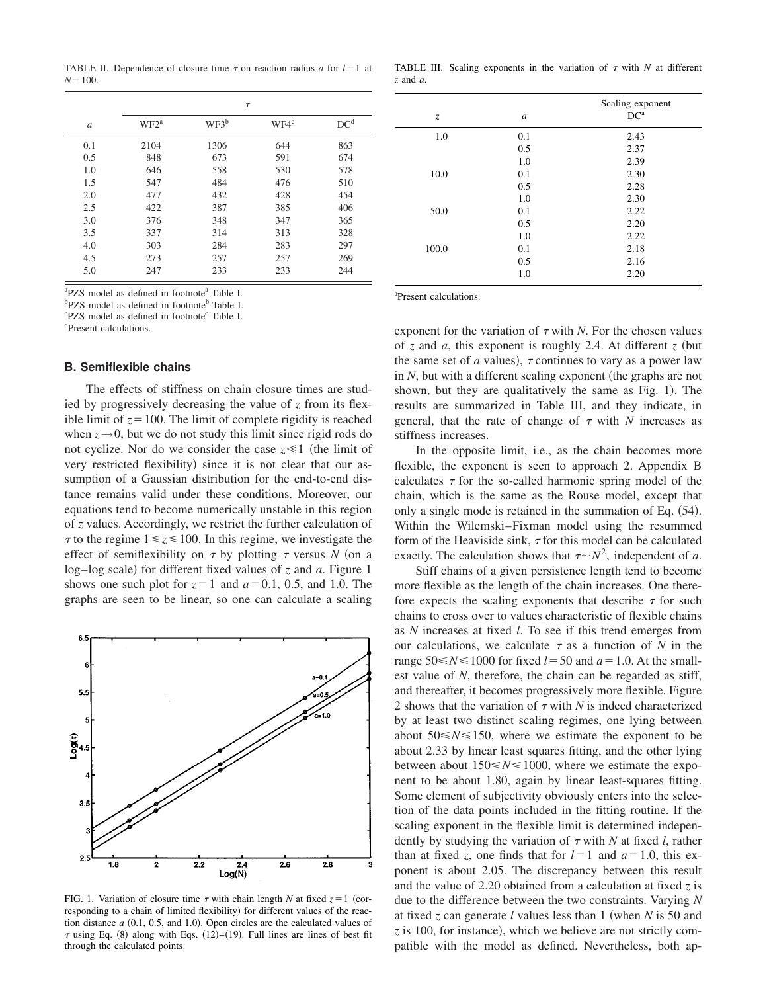TABLE II. Dependence of closure time  $\tau$  on reaction radius *a* for  $l=1$  at  $N = 100$ .

|               | $\tau$           |         |         |                 |  |  |
|---------------|------------------|---------|---------|-----------------|--|--|
| $\mathfrak a$ | WF2 <sup>a</sup> | $WF3^b$ | $WFA^c$ | DC <sup>d</sup> |  |  |
| 0.1           | 2104             | 1306    | 644     | 863             |  |  |
| 0.5           | 848              | 673     | 591     | 674             |  |  |
| 1.0           | 646              | 558     | 530     | 578             |  |  |
| 1.5           | 547              | 484     | 476     | 510             |  |  |
| 2.0           | 477              | 432     | 428     | 454             |  |  |
| 2.5           | 422              | 387     | 385     | 406             |  |  |
| 3.0           | 376              | 348     | 347     | 365             |  |  |
| 3.5           | 337              | 314     | 313     | 328             |  |  |
| 4.0           | 303              | 284     | 283     | 297             |  |  |
| 4.5           | 273              | 257     | 257     | 269             |  |  |
| 5.0           | 247              | 233     | 233     | 244             |  |  |

<sup>a</sup>PZS model as defined in footnote<sup>a</sup> Table I.

b<sub>PZS</sub> model as defined in footnote<sup>b</sup> Table I.

<sup>c</sup>PZS model as defined in footnote<sup>c</sup> Table I.

<sup>d</sup>Present calculations.

#### **B. Semiflexible chains**

The effects of stiffness on chain closure times are studied by progressively decreasing the value of *z* from its flexible limit of  $z = 100$ . The limit of complete rigidity is reached when  $z \rightarrow 0$ , but we do not study this limit since rigid rods do not cyclize. Nor do we consider the case  $z \ll 1$  (the limit of very restricted flexibility) since it is not clear that our assumption of a Gaussian distribution for the end-to-end distance remains valid under these conditions. Moreover, our equations tend to become numerically unstable in this region of *z* values. Accordingly, we restrict the further calculation of  $\tau$  to the regime  $1 \le z \le 100$ . In this regime, we investigate the effect of semiflexibility on  $\tau$  by plotting  $\tau$  versus *N* (on a log–log scale) for different fixed values of  $z$  and  $a$ . Figure 1 shows one such plot for  $z=1$  and  $a=0.1$ , 0.5, and 1.0. The graphs are seen to be linear, so one can calculate a scaling



FIG. 1. Variation of closure time  $\tau$  with chain length *N* at fixed  $z=1$  (corresponding to a chain of limited flexibility) for different values of the reaction distance  $a$   $(0.1, 0.5,$  and 1.0). Open circles are the calculated values of  $\tau$  using Eq. (8) along with Eqs. (12)–(19). Full lines are lines of best fit through the calculated points.

TABLE III. Scaling exponents in the variation of  $\tau$  with  $N$  at different *z* and *a*.

| $\mathcal{Z}$ | $\boldsymbol{a}$ | Scaling exponent<br>DC <sup>a</sup> |
|---------------|------------------|-------------------------------------|
| 1.0           | 0.1              | 2.43                                |
|               | 0.5              | 2.37                                |
|               | 1.0              | 2.39                                |
| 10.0          | 0.1              | 2.30                                |
|               | 0.5              | 2.28                                |
|               | 1.0              | 2.30                                |
| 50.0          | 0.1              | 2.22                                |
|               | 0.5              | 2.20                                |
|               | 1.0              | 2.22                                |
| 100.0         | 0.1              | 2.18                                |
|               | 0.5              | 2.16                                |
|               | 1.0              | 2.20                                |

<sup>a</sup>Present calculations.

exponent for the variation of  $\tau$  with *N*. For the chosen values of  $\zeta$  and  $\alpha$ , this exponent is roughly 2.4. At different  $\zeta$  (but the same set of *a* values),  $\tau$  continues to vary as a power law in  $N$ , but with a different scaling exponent (the graphs are not shown, but they are qualitatively the same as Fig. 1). The results are summarized in Table III, and they indicate, in general, that the rate of change of  $\tau$  with *N* increases as stiffness increases.

In the opposite limit, i.e., as the chain becomes more flexible, the exponent is seen to approach 2. Appendix B calculates  $\tau$  for the so-called harmonic spring model of the chain, which is the same as the Rouse model, except that only a single mode is retained in the summation of Eq.  $(54)$ . Within the Wilemski–Fixman model using the resummed form of the Heaviside sink,  $\tau$  for this model can be calculated exactly. The calculation shows that  $\tau \sim N^2$ , independent of *a*.

Stiff chains of a given persistence length tend to become more flexible as the length of the chain increases. One therefore expects the scaling exponents that describe  $\tau$  for such chains to cross over to values characteristic of flexible chains as *N* increases at fixed *l*. To see if this trend emerges from our calculations, we calculate  $\tau$  as a function of *N* in the range  $50 \le N \le 1000$  for fixed  $l = 50$  and  $a = 1.0$ . At the smallest value of *N*, therefore, the chain can be regarded as stiff, and thereafter, it becomes progressively more flexible. Figure 2 shows that the variation of  $\tau$  with *N* is indeed characterized by at least two distinct scaling regimes, one lying between about  $50 \le N \le 150$ , where we estimate the exponent to be about 2.33 by linear least squares fitting, and the other lying between about  $150 \le N \le 1000$ , where we estimate the exponent to be about 1.80, again by linear least-squares fitting. Some element of subjectivity obviously enters into the selection of the data points included in the fitting routine. If the scaling exponent in the flexible limit is determined independently by studying the variation of  $\tau$  with *N* at fixed *l*, rather than at fixed *z*, one finds that for  $l=1$  and  $a=1.0$ , this exponent is about 2.05. The discrepancy between this result and the value of 2.20 obtained from a calculation at fixed *z* is due to the difference between the two constraints. Varying *N* at fixed  $\zeta$  can generate *l* values less than 1 (when *N* is 50 and  $z$  is 100, for instance), which we believe are not strictly compatible with the model as defined. Nevertheless, both ap-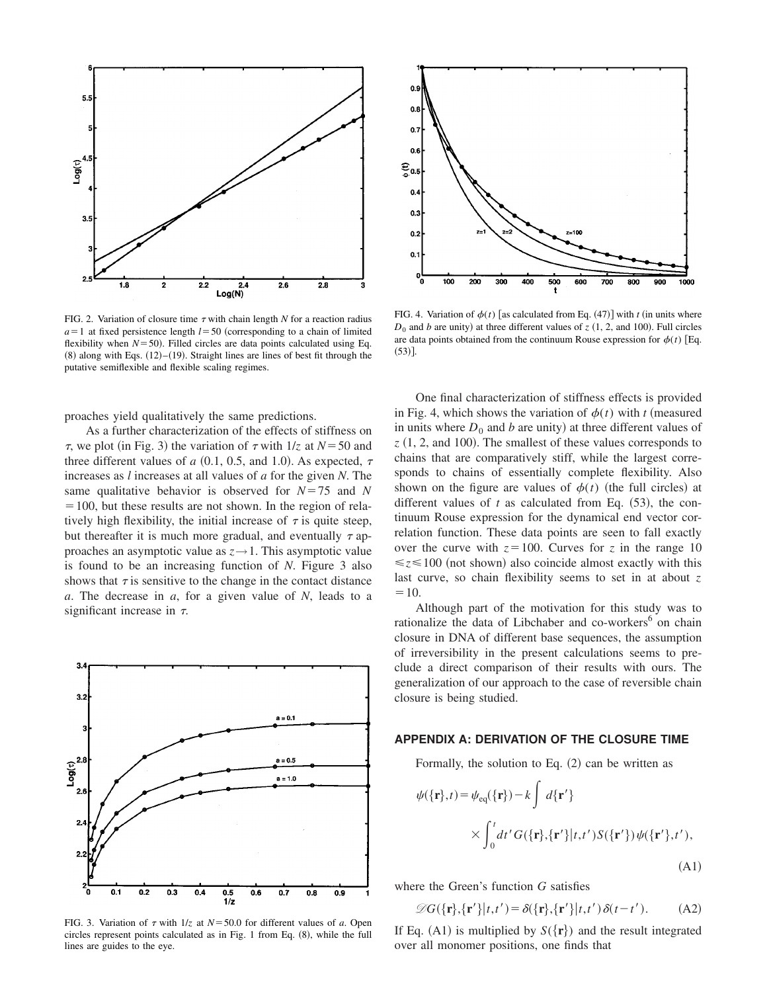

FIG. 2. Variation of closure time  $\tau$  with chain length  $N$  for a reaction radius  $a=1$  at fixed persistence length  $l=50$  (corresponding to a chain of limited flexibility when  $N = 50$ ). Filled circles are data points calculated using Eq.  $(8)$  along with Eqs.  $(12)–(19)$ . Straight lines are lines of best fit through the putative semiflexible and flexible scaling regimes.

proaches yield qualitatively the same predictions.

As a further characterization of the effects of stiffness on  $\tau$ , we plot (in Fig. 3) the variation of  $\tau$  with  $1/z$  at  $N=50$  and three different values of *a* (0.1, 0.5, and 1.0). As expected,  $\tau$ increases as *l* increases at all values of *a* for the given *N*. The same qualitative behavior is observed for  $N=75$  and N  $=100$ , but these results are not shown. In the region of relatively high flexibility, the initial increase of  $\tau$  is quite steep, but thereafter it is much more gradual, and eventually  $\tau$  approaches an asymptotic value as  $z \rightarrow 1$ . This asymptotic value is found to be an increasing function of *N*. Figure 3 also shows that  $\tau$  is sensitive to the change in the contact distance *a*. The decrease in *a*, for a given value of *N*, leads to a significant increase in  $\tau$ .



FIG. 3. Variation of  $\tau$  with  $1/z$  at  $N = 50.0$  for different values of *a*. Open circles represent points calculated as in Fig. 1 from Eq.  $(8)$ , while the full lines are guides to the eye.



FIG. 4. Variation of  $\phi(t)$  [as calculated from Eq. (47)] with *t* (in units where  $D_0$  and *b* are unity) at three different values of *z* (1, 2, and 100). Full circles are data points obtained from the continuum Rouse expression for  $\phi(t)$  [Eq.  $(53)$ ].

One final characterization of stiffness effects is provided in Fig. 4, which shows the variation of  $\phi(t)$  with *t* (measured in units where  $D_0$  and *b* are unity) at three different values of  $z(1, 2,$  and 100). The smallest of these values corresponds to chains that are comparatively stiff, while the largest corresponds to chains of essentially complete flexibility. Also shown on the figure are values of  $\phi(t)$  (the full circles) at different values of  $t$  as calculated from Eq.  $(53)$ , the continuum Rouse expression for the dynamical end vector correlation function. These data points are seen to fall exactly over the curve with  $z=100$ . Curves for *z* in the range 10  $\leq z \leq 100$  (not shown) also coincide almost exactly with this last curve, so chain flexibility seems to set in at about *z*  $=10.$ 

Although part of the motivation for this study was to rationalize the data of Libchaber and co-workers<sup>6</sup> on chain closure in DNA of different base sequences, the assumption of irreversibility in the present calculations seems to preclude a direct comparison of their results with ours. The generalization of our approach to the case of reversible chain closure is being studied.

## **APPENDIX A: DERIVATION OF THE CLOSURE TIME**

Formally, the solution to Eq.  $(2)$  can be written as

$$
\psi({\mathbf{r}},t) = \psi_{eq}({\mathbf{r}}) - k \int d{\mathbf{r}}' \times \int_0^t dt' G({\mathbf{r}}, {\mathbf{r}}'|t, t') S({\mathbf{r}}') \psi({\mathbf{r}}', t'),
$$
\n(A1)

where the Green's function *G* satisfies

$$
\mathscr{D}G(\{\mathbf{r}\},\{\mathbf{r}'\}|t,t') = \delta(\{\mathbf{r}\},\{\mathbf{r}'\}|t,t')\,\delta(t-t').\tag{A2}
$$

If Eq. (A1) is multiplied by  $S({\bf{r}})$  and the result integrated over all monomer positions, one finds that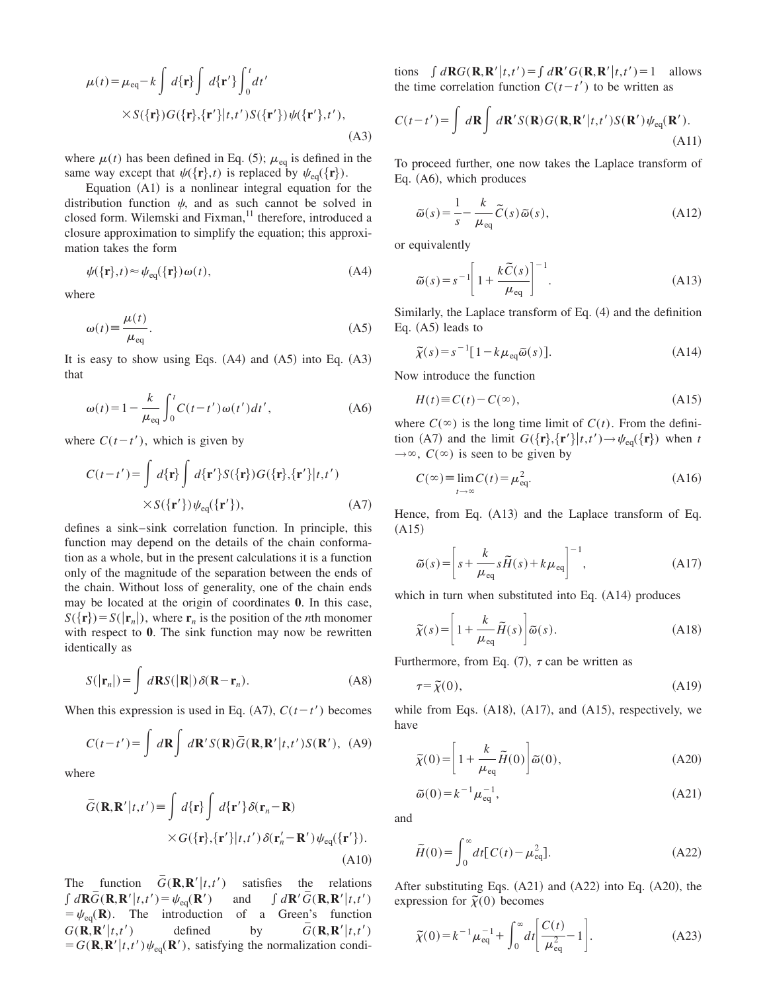$$
\mu(t) = \mu_{eq} - k \int d\{\mathbf{r}\} \int d\{\mathbf{r}'\} \int_0^t dt'
$$
  
 
$$
\times S(\{\mathbf{r}\}) G(\{\mathbf{r}\}, {\{\mathbf{r}'\}} | t, t') S({\{\mathbf{r}'\}}) \psi({\{\mathbf{r}'\}}, t'),
$$
 (A3)

where  $\mu(t)$  has been defined in Eq. (5);  $\mu_{eq}$  is defined in the same way except that  $\psi({\bf r},t)$  is replaced by  $\psi_{eq}({\bf r}).$ 

Equation  $(A1)$  is a nonlinear integral equation for the distribution function  $\psi$ , and as such cannot be solved in closed form. Wilemski and Fixman,<sup>11</sup> therefore, introduced a closure approximation to simplify the equation; this approximation takes the form

$$
\psi(\{\mathbf{r}\},t) \approx \psi_{\text{eq}}(\{\mathbf{r}\})\,\omega(t),\tag{A4}
$$

where

$$
\omega(t) \equiv \frac{\mu(t)}{\mu_{\text{eq}}}.
$$
\n(A5)

It is easy to show using Eqs.  $(A4)$  and  $(A5)$  into Eq.  $(A3)$ that

$$
\omega(t) = 1 - \frac{k}{\mu_{\text{eq}}} \int_0^t C(t - t') \omega(t') dt', \tag{A6}
$$

where  $C(t-t')$ , which is given by

$$
C(t-t') = \int d\{\mathbf{r}\}\int d\{\mathbf{r}'\} S(\{\mathbf{r}\}) G(\{\mathbf{r}\},\{\mathbf{r}'\}|t,t')
$$
  
 
$$
\times S(\{\mathbf{r}'\}) \psi_{\text{eq}}(\{\mathbf{r}'\}), \tag{A7}
$$

defines a sink–sink correlation function. In principle, this function may depend on the details of the chain conformation as a whole, but in the present calculations it is a function only of the magnitude of the separation between the ends of the chain. Without loss of generality, one of the chain ends may be located at the origin of coordinates **0**. In this case,  $S({\bf r}) = S(|{\bf r}_n|)$ , where  ${\bf r}_n$  is the position of the *n*th monomer with respect to **0**. The sink function may now be rewritten identically as

$$
S(|\mathbf{r}_n|) = \int d\mathbf{R} S(|\mathbf{R}|) \, \delta(\mathbf{R} - \mathbf{r}_n). \tag{A8}
$$

When this expression is used in Eq.  $(A7)$ ,  $C(t-t')$  becomes

$$
C(t-t') = \int d\mathbf{R} \int d\mathbf{R}' S(\mathbf{R}) \overline{G}(\mathbf{R}, \mathbf{R}' | t, t') S(\mathbf{R}'), \text{ (A9)}
$$

where

$$
\overline{G}(\mathbf{R}, \mathbf{R}' | t, t') \equiv \int d\{\mathbf{r}\} \int d\{\mathbf{r}'\} \delta(\mathbf{r}_n - \mathbf{R})
$$
  
 
$$
\times G(\{\mathbf{r}\}, {\{\mathbf{r}'\}} | t, t') \delta(\mathbf{r}'_n - \mathbf{R}') \psi_{\text{eq}}(\{\mathbf{r}'\}).
$$
  
(A10)

The function  $\overline{G}(\mathbf{R}, \mathbf{R}' | t, t')$  satisfies the relations  $\int d\mathbf{R} \vec{G}(\mathbf{R}, \mathbf{R}' | t, t') = \psi_{eq}(\mathbf{R}')$  and  $\int d\mathbf{R}' \vec{G}$  $\int d\mathbf{R}' G(\mathbf{R}, \mathbf{R}' | t, t')$  $=\psi_{eq}(R)$ . The introduction of a Green's function  $G(\mathbf{R}, \mathbf{R}' | t, t')$  defined by  $\overline{G}(\mathbf{R},\mathbf{R}'|t,t')$  $= G(\mathbf{R}, \mathbf{R}' | t, t') \psi_{eq}(\mathbf{R}'),$  satisfying the normalization conditions  $\int d\mathbf{R} G(\mathbf{R}, \mathbf{R}' | t, t') = \int d\mathbf{R}' G(\mathbf{R}, \mathbf{R}' | t, t') = 1$  allows the time correlation function  $C(t-t')$  to be written as

$$
C(t-t') = \int d\mathbf{R} \int d\mathbf{R}' S(\mathbf{R}) G(\mathbf{R}, \mathbf{R}' | t, t') S(\mathbf{R}') \psi_{\text{eq}}(\mathbf{R}').
$$
\n(A11)

To proceed further, one now takes the Laplace transform of Eq.  $(A6)$ , which produces

$$
\widetilde{\omega}(s) = \frac{1}{s} - \frac{k}{\mu_{\text{eq}}} \widetilde{C}(s) \widetilde{\omega}(s),\tag{A12}
$$

or equivalently

$$
\widetilde{\omega}(s) = s^{-1} \left[ 1 + \frac{k \widetilde{C}(s)}{\mu_{\text{eq}}} \right]^{-1}.
$$
\n(A13)

Similarly, the Laplace transform of Eq.  $(4)$  and the definition Eq.  $(A5)$  leads to

$$
\widetilde{\chi}(s) = s^{-1} [1 - k \mu_{\text{eq}} \widetilde{\omega}(s)]. \tag{A14}
$$

Now introduce the function

$$
H(t) \equiv C(t) - C(\infty), \tag{A15}
$$

where  $C(\infty)$  is the long time limit of  $C(t)$ . From the definition (A7) and the limit  $G({\bf r}, {\bf r'}|t,t') \rightarrow \psi_{eq}({\bf r})$  when *t*  $\rightarrow \infty$ , *C*( $\infty$ ) is seen to be given by

$$
C(\infty) \equiv \lim_{t \to \infty} C(t) = \mu_{\text{eq}}^2.
$$
 (A16)

Hence, from Eq.  $(A13)$  and the Laplace transform of Eq.  $(A15)$ 

$$
\widetilde{\omega}(s) = \left[ s + \frac{k}{\mu_{\text{eq}}} s \widetilde{H}(s) + k \mu_{\text{eq}} \right]^{-1},\tag{A17}
$$

which in turn when substituted into Eq.  $(A14)$  produces

$$
\widetilde{\chi}(s) = \left[1 + \frac{k}{\mu_{\text{eq}}} \widetilde{H}(s)\right] \widetilde{\omega}(s). \tag{A18}
$$

Furthermore, from Eq.  $(7)$ ,  $\tau$  can be written as

$$
\tau = \tilde{\chi}(0),\tag{A19}
$$

while from Eqs.  $(A18)$ ,  $(A17)$ , and  $(A15)$ , respectively, we have

$$
\widetilde{\chi}(0) = \left[1 + \frac{k}{\mu_{\text{eq}}} \widetilde{H}(0)\right] \widetilde{\omega}(0),\tag{A20}
$$

$$
\widetilde{\omega}(0) = k^{-1} \mu_{\text{eq}}^{-1},\tag{A21}
$$

and

$$
\widetilde{H}(0) = \int_0^\infty dt \left[ C(t) - \mu_{\text{eq}}^2 \right].
$$
\n(A22)

After substituting Eqs.  $(A21)$  and  $(A22)$  into Eq.  $(A20)$ , the expression for  $\tilde{\chi}(0)$  becomes

$$
\tilde{\chi}(0) = k^{-1} \mu_{\text{eq}}^{-1} + \int_0^\infty dt \left[ \frac{C(t)}{\mu_{\text{eq}}^2} - 1 \right].
$$
 (A23)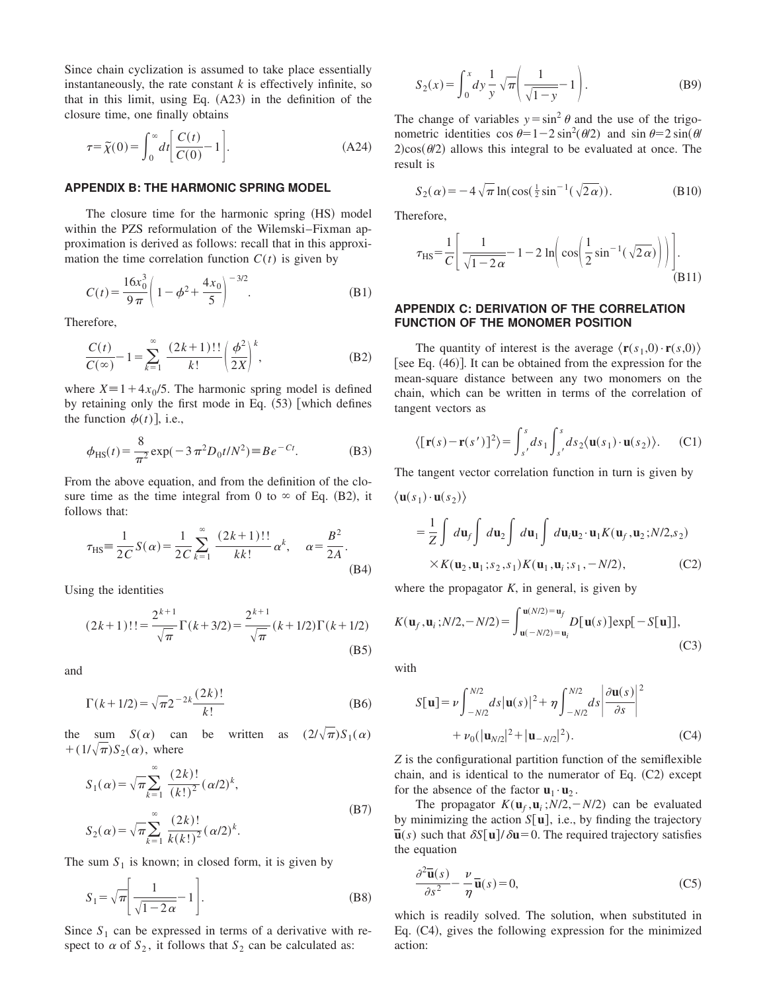Since chain cyclization is assumed to take place essentially instantaneously, the rate constant  $k$  is effectively infinite, so that in this limit, using Eq.  $(A23)$  in the definition of the closure time, one finally obtains

$$
\tau = \widetilde{\chi}(0) = \int_0^\infty dt \bigg[ \frac{C(t)}{C(0)} - 1 \bigg].
$$
\n(A24)

#### **APPENDIX B: THE HARMONIC SPRING MODEL**

The closure time for the harmonic spring  $(HS)$  model within the PZS reformulation of the Wilemski–Fixman approximation is derived as follows: recall that in this approximation the time correlation function  $C(t)$  is given by

$$
C(t) = \frac{16x_0^3}{9\pi} \left( 1 - \phi^2 + \frac{4x_0}{5} \right)^{-3/2}.
$$
 (B1)

Therefore,

$$
\frac{C(t)}{C(\infty)} - 1 = \sum_{k=1}^{\infty} \frac{(2k+1)!!}{k!} \left(\frac{\phi^2}{2X}\right)^k,
$$
 (B2)

where  $X = 1 + 4x_0/5$ . The harmonic spring model is defined by retaining only the first mode in Eq.  $(53)$  [which defines the function  $\phi(t)$ , i.e.,

$$
\phi_{\rm HS}(t) = \frac{8}{\pi^2} \exp(-3\pi^2 D_0 t / N^2) \equiv Be^{-Ct}.
$$
 (B3)

From the above equation, and from the definition of the closure time as the time integral from 0 to  $\infty$  of Eq. (B2), it follows that:

$$
\tau_{\text{HS}} = \frac{1}{2C} S(\alpha) = \frac{1}{2C} \sum_{k=1}^{\infty} \frac{(2k+1)!!}{kk!} \alpha^k, \quad \alpha = \frac{B^2}{2A}.
$$
\n(B4)

Using the identities

$$
(2k+1)!! = \frac{2^{k+1}}{\sqrt{\pi}} \Gamma(k+3/2) = \frac{2^{k+1}}{\sqrt{\pi}} (k+1/2) \Gamma(k+1/2)
$$
\n(B5)

and

$$
\Gamma(k+1/2) = \sqrt{\pi} 2^{-2k} \frac{(2k)!}{k!}
$$
 (B6)

the sum  $S(\alpha)$  can be written as  $(2/\sqrt{\pi})S_1(\alpha)$  $+(1/\sqrt{\pi})S_2(\alpha)$ , where

$$
S_1(\alpha) = \sqrt{\pi} \sum_{k=1}^{\infty} \frac{(2k)!}{(k!)^2} (\alpha/2)^k,
$$
  

$$
S_2(\alpha) = \sqrt{\pi} \sum_{k=1}^{\infty} \frac{(2k)!}{k(k!)^2} (\alpha/2)^k.
$$
 (B7)

The sum  $S_1$  is known; in closed form, it is given by

$$
S_1 = \sqrt{\pi} \left[ \frac{1}{\sqrt{1 - 2\alpha}} - 1 \right].
$$
 (B8)

Since  $S_1$  can be expressed in terms of a derivative with respect to  $\alpha$  of  $S_2$ , it follows that  $S_2$  can be calculated as:

$$
S_2(x) = \int_0^x dy \frac{1}{y} \sqrt{\pi} \left( \frac{1}{\sqrt{1 - y}} - 1 \right).
$$
 (B9)

The change of variables  $y = \sin^2 \theta$  and the use of the trigonometric identities  $\cos \theta = 1 - 2 \sin^2(\theta/2)$  and  $\sin \theta = 2 \sin(\theta/2)$  $2$ )cos( $\theta$ /2) allows this integral to be evaluated at once. The result is

$$
S_2(\alpha) = -4\sqrt{\pi} \ln(\cos(\frac{1}{2}\sin^{-1}(\sqrt{2\alpha}))).
$$
 (B10)

Therefore,

$$
\tau_{\rm HS} = \frac{1}{C} \left[ \frac{1}{\sqrt{1 - 2\alpha}} - 1 - 2 \ln \left( \cos \left( \frac{1}{2} \sin^{-1}(\sqrt{2\alpha}) \right) \right) \right].
$$
\n(B11)

## **APPENDIX C: DERIVATION OF THE CORRELATION FUNCTION OF THE MONOMER POSITION**

The quantity of interest is the average  $\langle \mathbf{r}(s_1,0) \cdot \mathbf{r}(s,0) \rangle$ [see Eq.  $(46)$ ]. It can be obtained from the expression for the mean-square distance between any two monomers on the chain, which can be written in terms of the correlation of tangent vectors as

$$
\langle [\mathbf{r}(s) - \mathbf{r}(s')]^2 \rangle = \int_{s'}^s ds_1 \int_{s'}^s ds_2 \langle \mathbf{u}(s_1) \cdot \mathbf{u}(s_2) \rangle. \tag{C1}
$$

The tangent vector correlation function in turn is given by

 $\langle$ **u** $(s_1) \cdot$ **u** $(s_2)$  $\rangle$ 

$$
= \frac{1}{Z} \int d\mathbf{u}_f \int d\mathbf{u}_2 \int d\mathbf{u}_1 \int d\mathbf{u}_i \mathbf{u}_2 \cdot \mathbf{u}_1 K(\mathbf{u}_f, \mathbf{u}_2; N/2, s_2)
$$
  
× $K(\mathbf{u}_2, \mathbf{u}_1; s_2, s_1) K(\mathbf{u}_1, \mathbf{u}_i; s_1, -N/2),$  (C2)

where the propagator  $K$ , in general, is given by

$$
K(\mathbf{u}_f, \mathbf{u}_i; N/2, -N/2) = \int_{\mathbf{u}(-N/2) = \mathbf{u}_i}^{\mathbf{u}(N/2) = \mathbf{u}_f} D[\mathbf{u}(s)] \exp[-S[\mathbf{u}]],
$$
\n(C3)

with

$$
S[\mathbf{u}] = \nu \int_{-N/2}^{N/2} ds |\mathbf{u}(s)|^2 + \eta \int_{-N/2}^{N/2} ds \left| \frac{\partial \mathbf{u}(s)}{\partial s} \right|^2
$$
  
+  $\nu_0 (|\mathbf{u}_{N/2}|^2 + |\mathbf{u}_{-N/2}|^2).$  (C4)

*Z* is the configurational partition function of the semiflexible chain, and is identical to the numerator of Eq.  $(C2)$  except for the absence of the factor  $\mathbf{u}_1 \cdot \mathbf{u}_2$ .

The propagator  $K(\mathbf{u}_f, \mathbf{u}_i; N/2, -N/2)$  can be evaluated by minimizing the action  $S[\mathbf{u}]$ , i.e., by finding the trajectory  $\overline{\mathbf{u}}(s)$  such that  $\delta S[\mathbf{u}]/\delta \mathbf{u} = 0$ . The required trajectory satisfies the equation

$$
\frac{\partial^2 \overline{\mathbf{u}}(s)}{\partial s^2} - \frac{\nu}{\eta} \overline{\mathbf{u}}(s) = 0,
$$
 (C5)

which is readily solved. The solution, when substituted in Eq.  $(C4)$ , gives the following expression for the minimized action: